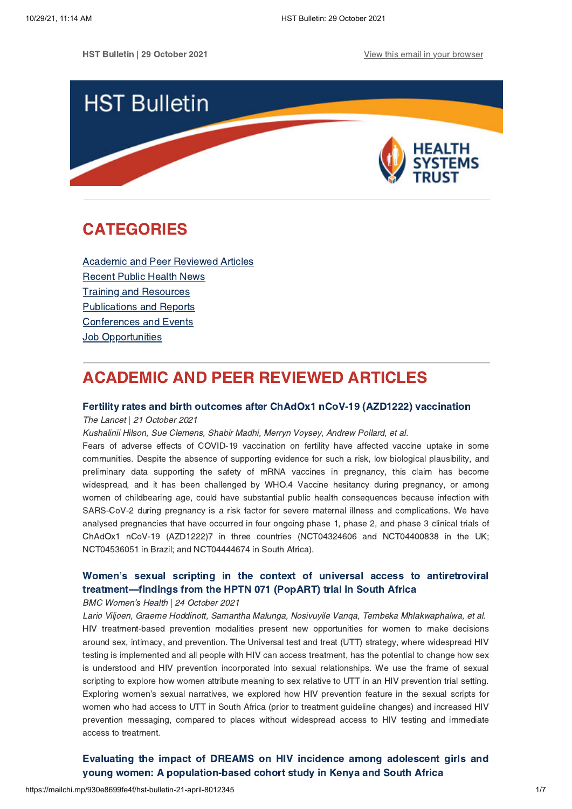HST Bulletin | 29 October 2021 View this email in your [browser](https://mailchi.mp/930e8699fe4f/hst-bulletin-21-april-8012345?e=[UNIQID])



# <span id="page-0-1"></span>CATEGORIES

Academic and Peer [Reviewed](#page-0-0) Articles [Recent](#page-1-0) Public Health News Training and Resources [Publications](#page-4-0) and Reports [Conferences](#page-4-1) and Events **Job [Opportunities](#page-5-0)** 

# <span id="page-0-0"></span>ACADEMIC AND PEER REVIEWED ARTICLES

## Fertility rates and birth outcomes after ChAdOx1 nCoV-19 (AZD1222) [vaccination](https://www.thelancet.com/journals/lancet/article/PIIS0140-6736(21)02282-0/fulltext)

#### The Lancet | 21 October 2021

Kushalinii Hilson, Sue Clemens, Shabir Madhi, Merryn Voysey, Andrew Pollard, et al.

Fears of adverse effects of COVID-19 vaccination on fertility have affected vaccine uptake in some communities. Despite the absence of supporting evidence for such a risk, low biological plausibility, and preliminary data supporting the safety of mRNA vaccines in pregnancy, this claim has become widespread, and it has been challenged by WHO.4 Vaccine hesitancy during pregnancy, or among women of childbearing age, could have substantial public health consequences because infection with SARS-CoV-2 during pregnancy is a risk factor for severe maternal illness and complications. We have analysed pregnancies that have occurred in four ongoing phase 1, phase 2, and phase 3 clinical trials of ChAdOx1 nCoV-19 (AZD1222)7 in three countries (NCT04324606 and NCT04400838 in the UK; NCT04536051 in Brazil; and NCT04444674 in South Africa).

# Women's sexual scripting in the context of universal access to antiretroviral [treatment—findings](https://bmcwomenshealth.biomedcentral.com/articles/10.1186/s12905-021-01513-z) from the HPTN 071 (PopART) trial in South Africa

BMC Women's Health | 24 October 2021

Lario Viljoen, Graeme Hoddinott, Samantha Malunga, Nosivuyile Vanqa, Tembeka Mhlakwaphalwa, et al. HIV treatment-based prevention modalities present new opportunities for women to make decisions around sex, intimacy, and prevention. The Universal test and treat (UTT) strategy, where widespread HIV testing is implemented and all people with HIV can access treatment, has the potential to change how sex is understood and HIV prevention incorporated into sexual relationships. We use the frame of sexual scripting to explore how women attribute meaning to sex relative to UTT in an HIV prevention trial setting. Exploring women's sexual narratives, we explored how HIV prevention feature in the sexual scripts for women who had access to UTT in South Africa (prior to treatment guideline changes) and increased HIV prevention messaging, compared to places without widespread access to HIV testing and immediate access to treatment.

Evaluating the impact of DREAMS on HIV incidence among adolescent girls and young women: A [population-based](https://journals.plos.org/plosmedicine/article?id=10.1371/journal.pmed.1003837) cohort study in Kenya and South Africa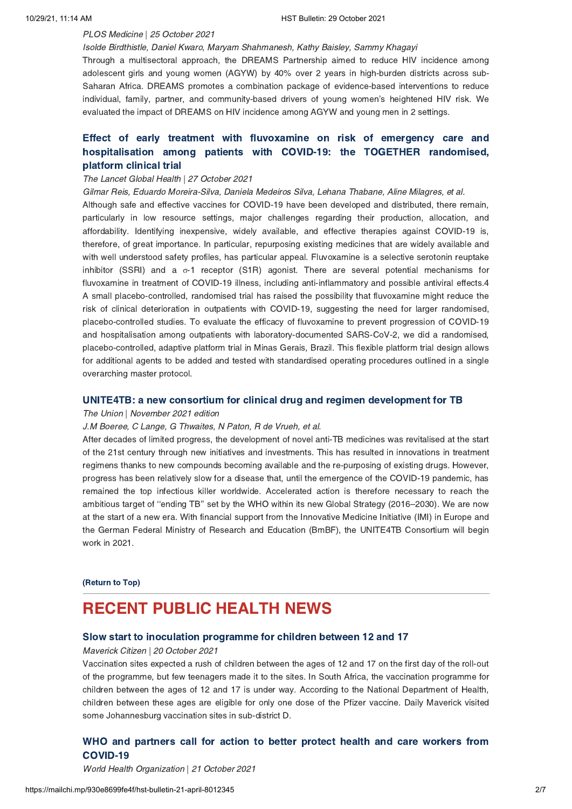## PLOS Medicine | 25 October 2021

Isolde Birdthistle, Daniel Kwaro, Maryam Shahmanesh, Kathy Baisley, Sammy Khagayi

Through a multisectoral approach, the DREAMS Partnership aimed to reduce HIV incidence among adolescent girls and young women (AGYW) by 40% over 2 years in high-burden districts across sub-Saharan Africa. DREAMS promotes a combination package of evidence-based interventions to reduce individual, family, partner, and community-based drivers of young women's heightened HIV risk. We evaluated the impact of DREAMS on HIV incidence among AGYW and young men in 2 settings.

# Effect of early treatment with fluvoxamine on risk of emergency care and [hospitalisation](https://www.thelancet.com/journals/langlo/article/PIIS2214-109X(21)00448-4/fulltext#seccestitle80) among patients with COVID-19: the TOGETHER randomised, platform clinical trial

## The Lancet Global Health | 27 October 2021

Gilmar Reis, Eduardo Moreira-Silva, Daniela Medeiros Silva, Lehana Thabane, Aline Milagres, et al. Although safe and effective vaccines for COVID-19 have been developed and distributed, there remain, particularly in low resource settings, major challenges regarding their production, allocation, and affordability. Identifying inexpensive, widely available, and effective therapies against COVID-19 is, therefore, of great importance. In particular, repurposing existing medicines that are widely available and with well understood safety profiles, has particular appeal. Fluvoxamine is a selective serotonin reuptake inhibitor (SSRI) and a σ-1 receptor (S1R) agonist. There are several potential mechanisms for fluvoxamine in treatment of COVID-19 illness, including anti-inflammatory and possible antiviral effects.4 A small placebo-controlled, randomised trial has raised the possibility that fluvoxamine might reduce the risk of clinical deterioration in outpatients with COVID-19, suggesting the need for larger randomised, placebo-controlled studies. To evaluate the efficacy of fluvoxamine to prevent progression of COVID-19 and hospitalisation among outpatients with laboratory-documented SARS-CoV-2, we did a randomised, placebo-controlled, adaptive platform trial in Minas Gerais, Brazil. This flexible platform trial design allows for additional agents to be added and tested with standardised operating procedures outlined in a single overarching master protocol.

### UNITE4TB: a new consortium for clinical drug and regimen [development](https://www.ingentaconnect.com/contentone/iuatld/ijtld/2021/00000025/00000011/art00003#) for TB

#### The Union | November 2021 edition

## J.M Boeree, C Lange, G Thwaites, N Paton, R de Vrueh, et al.

After decades of limited progress, the development of novel anti-TB medicines was revitalised at the start of the 21st century through new initiatives and investments. This has resulted in innovations in treatment regimens thanks to new compounds becoming available and the re-purposing of existing drugs. However, progress has been relatively slow for a disease that, until the emergence of the COVID-19 pandemic, has remained the top infectious killer worldwide. Accelerated action is therefore necessary to reach the ambitious target of ''ending TB'' set by the WHO within its new Global Strategy (2016–2030). We are now at the start of a new era. With financial support from the Innovative Medicine Initiative (IMI) in Europe and the German Federal Ministry of Research and Education (BmBF), the UNITE4TB Consortium will begin work in 2021.

### [\(Return](#page-0-1) to Top)

# <span id="page-1-0"></span>RECENT PUBLIC HEALTH NEWS

## Slow start to inoculation [programme](http://www.dailymaverick.co.za/article/2021-10-20-slow-start-to-inoculation-programme-for-children-between-12-and-17/) for children between 12 and 17

#### Maverick Citizen | 20 October 2021

Vaccination sites expected a rush of children between the ages of 12 and 17 on the first day of the roll-out of the programme, but few teenagers made it to the sites. In South Africa, the vaccination programme for children between the ages of 12 and 17 is under way. According to the National Department of Health, children between these ages are eligible for only one dose of the Pfizer vaccine. Daily Maverick visited some Johannesburg vaccination sites in sub-district D.

# WHO and partners call for action to better protect health and care workers from [COVID-19](https://www.who.int/news/item/21-10-2021-who-and-partners-call-for-action-to-better-protect-health-and-care-workers-from-covid-19)

World Health Organization | 21 October 2021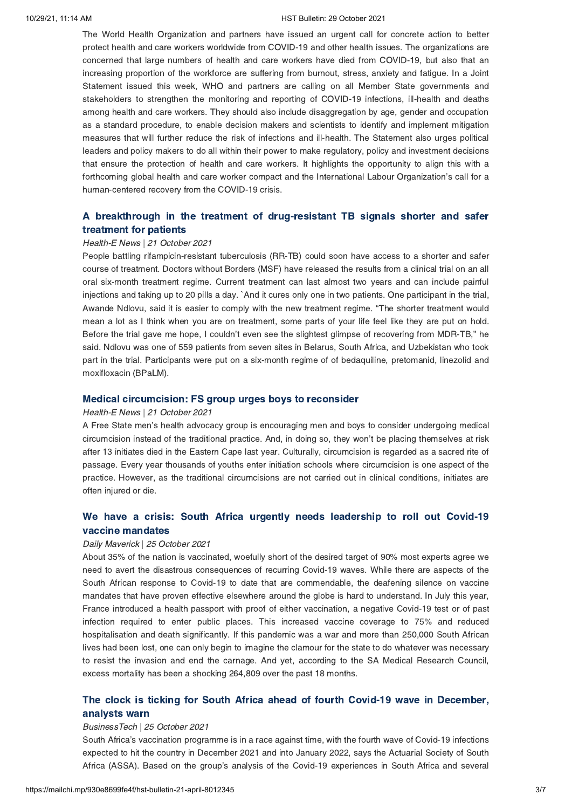#### 10/29/21, 11:14 AM HST Bulletin: 29 October 2021

The World Health Organization and partners have issued an urgent call for concrete action to better protect health and care workers worldwide from COVID-19 and other health issues. The organizations are concerned that large numbers of health and care workers have died from COVID-19, but also that an increasing proportion of the workforce are suffering from burnout, stress, anxiety and fatigue. In a Joint Statement issued this week, WHO and partners are calling on all Member State governments and stakeholders to strengthen the monitoring and reporting of COVID-19 infections, ill-health and deaths among health and care workers. They should also include disaggregation by age, gender and occupation as a standard procedure, to enable decision makers and scientists to identify and implement mitigation measures that will further reduce the risk of infections and ill-health. The Statement also urges political leaders and policy makers to do all within their power to make regulatory, policy and investment decisions that ensure the protection of health and care workers. It highlights the opportunity to align this with a forthcoming global health and care worker compact and the International Labour Organization's call for a human-centered recovery from the COVID-19 crisis.

## A breakthrough in the treatment of [drug-resistant](https://health-e.org.za/2021/10/21/a-breakthrough-in-the-treatment-of-drug-resistant-tb-signals-shorter-and-safer-treatment-for-patients/) TB signals shorter and safer treatment for patients

#### Health-E News | 21 October 2021

People battling rifampicin-resistant tuberculosis (RR-TB) could soon have access to a shorter and safer course of treatment. Doctors without Borders (MSF) have released the results from a clinical trial on an all oral six-month treatment regime. Current treatment can last almost two years and can include painful injections and taking up to 20 pills a day. `And it cures only one in two patients. One participant in the trial, Awande Ndlovu, said it is easier to comply with the new treatment regime. "The shorter treatment would mean a lot as I think when you are on treatment, some parts of your life feel like they are put on hold. Before the trial gave me hope, I couldn't even see the slightest glimpse of recovering from MDR-TB," he said. Ndlovu was one of 559 patients from seven sites in Belarus, South Africa, and Uzbekistan who took part in the trial. Participants were put on a six-month regime of of bedaquiline, pretomanid, linezolid and moxifloxacin (BPaLM).

#### Medical [circumcision:](https://health-e.org.za/2021/10/22/medical-circumcision-fs-group-urges-boys-to-reconsider/) FS group urges boys to reconsider

#### Health-E News | 21 October 2021

A Free State men's health advocacy group is encouraging men and boys to consider undergoing medical circumcision instead of the traditional practice. And, in doing so, they won't be placing themselves at risk after 13 initiates died in the Eastern Cape last year. Culturally, circumcision is regarded as a sacred rite of passage. Every year thousands of youths enter initiation schools where circumcision is one aspect of the practice. However, as the traditional circumcisions are not carried out in clinical conditions, initiates are often injured or die.

## We have a crisis: South Africa urgently needs [leadership](https://www.dailymaverick.co.za/article/2021-10-24-we-have-a-crisis-south-africa-urgently-needs-leadership-to-roll-out-covid-19-vaccine-mandates/) to roll out Covid-19 vaccine mandates

### Daily Maverick | 25 October 2021

About 35% of the nation is vaccinated, woefully short of the desired target of 90% most experts agree we need to avert the disastrous consequences of recurring Covid-19 waves. While there are aspects of the South African response to Covid-19 to date that are commendable, the deafening silence on vaccine mandates that have proven effective elsewhere around the globe is hard to understand. In July this year, France introduced a health passport with proof of either vaccination, a negative Covid-19 test or of past infection required to enter public places. This increased vaccine coverage to 75% and reduced hospitalisation and death significantly. If this pandemic was a war and more than 250,000 South African lives had been lost, one can only begin to imagine the clamour for the state to do whatever was necessary to resist the invasion and end the carnage. And yet, according to the SA Medical Research Council, excess mortality has been a shocking 264,809 over the past 18 months.

## The clock is ticking for South Africa ahead of fourth Covid-19 wave in [December,](https://businesstech.co.za/news/lifestyle/531858/the-clock-is-ticking-for-south-africa-ahead-of-fourth-covid-19-wave-in-december-analysts-warn/) analysts warn

#### BusinessTech | 25 October 2021

South Africa's vaccination programme is in a race against time, with the fourth wave of Covid-19 infections expected to hit the country in December 2021 and into January 2022, says the Actuarial Society of South Africa (ASSA). Based on the group's analysis of the Covid-19 experiences in South Africa and several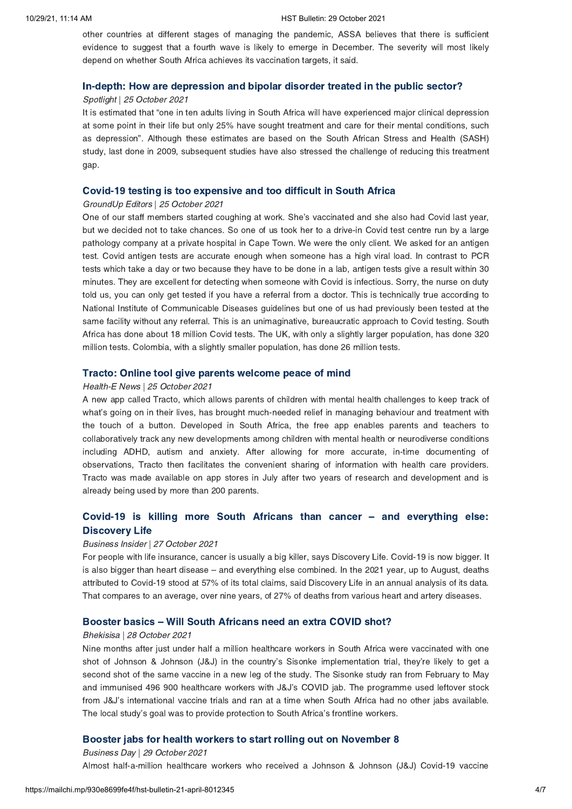other countries at different stages of managing the pandemic, ASSA believes that there is sufficient evidence to suggest that a fourth wave is likely to emerge in December. The severity will most likely depend on whether South Africa achieves its vaccination targets, it said.

### In-depth: How are [depression](https://www.spotlightnsp.co.za/2021/10/25/in-depth-how-are-depression-and-bipolar-disorder-treated-in-the-public-sector/) and bipolar disorder treated in the public sector?

## Spotlight | 25 October 2021

It is estimated that "one in ten adults living in South Africa will have experienced major clinical depression at some point in their life but only 25% have sought treatment and care for their mental conditions, such as depression". Although these estimates are based on the South African Stress and Health (SASH) study, last done in 2009, subsequent studies have also stressed the challenge of reducing this treatment gap.

### Covid-19 testing is too [expensive](https://www.groundup.org.za/article/covid-19-tests-overpriced/) and too difficult in South Africa

## GroundUp Editors | 25 October 2021

One of our staff members started coughing at work. She's vaccinated and she also had Covid last year, but we decided not to take chances. So one of us took her to a drive-in Covid test centre run by a large pathology company at a private hospital in Cape Town. We were the only client. We asked for an antigen test. Covid antigen tests are accurate enough when someone has a high viral load. In contrast to PCR tests which take a day or two because they have to be done in a lab, antigen tests give a result within 30 minutes. They are excellent for detecting when someone with Covid is infectious. Sorry, the nurse on duty told us, you can only get tested if you have a referral from a doctor. This is technically true according to National Institute of Communicable Diseases guidelines but one of us had previously been tested at the same facility without any referral. This is an unimaginative, bureaucratic approach to Covid testing. South Africa has done about 18 million Covid tests. The UK, with only a slightly larger population, has done 320 million tests. Colombia, with a slightly smaller population, has done 26 million tests.

## Tracto: Online tool give parents [welcome](https://health-e.org.za/2021/10/25/tracto-online-tool-give-parents-welcome-peace-of-mind/) peace of mind

#### Health-E News | 25 October 2021

A new app called Tracto, which allows parents of children with mental health challenges to keep track of what's going on in their lives, has brought much-needed relief in managing behaviour and treatment with the touch of a button. Developed in South Africa, the free app enables parents and teachers to collaboratively track any new developments among children with mental health or neurodiverse conditions including ADHD, autism and anxiety. After allowing for more accurate, in-time documenting of observations, Tracto then facilitates the convenient sharing of information with health care providers. Tracto was made available on app stores in July after two years of research and development and is already being used by more than 200 parents.

## Covid-19 is killing more South Africans than cancer – and [everything](https://www.businessinsider.co.za/discovery-life-claim-statistics-show-just-how-many-people-covid-19-is-killing-2021-10) else: Discovery Life

#### Business Insider | 27 October 2021

For people with life insurance, cancer is usually a big killer, says Discovery Life. Covid-19 is now bigger. It is also bigger than heart disease – and everything else combined. In the 2021 year, up to August, deaths attributed to Covid-19 stood at 57% of its total claims, said Discovery Life in an annual analysis of its data. That compares to an average, over nine years, of 27% of deaths from various heart and artery diseases.

#### Booster basics – Will South [Africans](https://bhekisisa.org/article/2021-10-28-booster-basics-will-south-africans-need-an-extra-covid-shot/) need an extra COVID shot?

#### Bhekisisa | 28 October 2021

Nine months after just under half a million healthcare workers in South Africa were vaccinated with one shot of Johnson & Johnson (J&J) in the country's Sisonke implementation trial, they're likely to get a second shot of the same vaccine in a new leg of the study. The Sisonke study ran from February to May and immunised 496 900 healthcare workers with J&J's COVID jab. The programme used leftover stock from J&J's international vaccine trials and ran at a time when South Africa had no other jabs available. The local study's goal was to provide protection to South Africa's frontline workers.

## Booster jabs for health workers to start rolling out on [November](https://www.businesslive.co.za/bd/national/2021-10-29-booster-jabs-for-health-workers-to-start-rolling-out-on-november-8/) 8

Business Day | 29 October 2021 Almost half-a-million healthcare workers who received a Johnson & Johnson (J&J) Covid-19 vaccine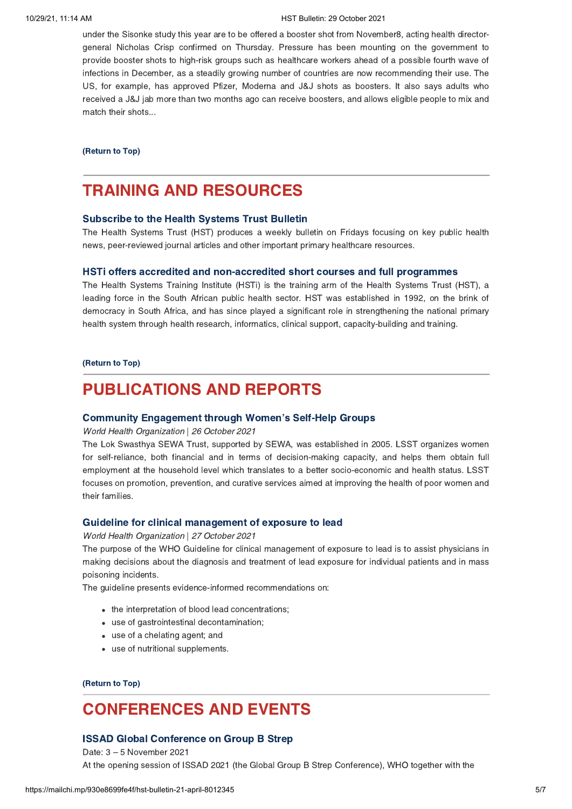#### 10/29/21, 11:14 AM HST Bulletin: 29 October 2021

under the Sisonke study this year are to be offered a booster shot from November8, acting health directorgeneral Nicholas Crisp confirmed on Thursday. Pressure has been mounting on the government to provide booster shots to high-risk groups such as healthcare workers ahead of a possible fourth wave of infections in December, as a steadily growing number of countries are now recommending their use. The US, for example, has approved Pfizer, Moderna and J&J shots as boosters. It also says adults who received a J&J jab more than two months ago can receive boosters, and allows eligible people to mix and match their shots...

#### [\(Return](#page-0-1) to Top)

# <span id="page-4-0"></span>TRAINING AND RESOURCES

## [Subscribe](https://www.hst.org.za/Pages/Subscription.aspx) to the Health Systems Trust Bulletin

The Health Systems Trust (HST) produces a weekly bulletin on Fridays focusing on key public health news, peer-reviewed journal articles and other important primary healthcare resources.

#### HSTi offers accredited and [non-accredited](https://www.hstinstitute.co.za/Training) short courses and full programmes

The Health Systems Training Institute (HSTi) is the training arm of the Health Systems Trust (HST), a leading force in the South African public health sector. HST was established in 1992, on the brink of democracy in South Africa, and has since played a significant role in strengthening the national primary health system through health research, informatics, clinical support, capacity-building and training.

#### [\(Return](#page-0-1) to Top)

# PUBLICATIONS AND REPORTS

### Community [Engagement](https://www.who.int/publications/i/item/community-engagement-through-women-s-self-help-groups) through Women's Self-Help Groups

World Health Organization | 26 October 2021

The Lok Swasthya SEWA Trust, supported by SEWA, was established in 2005. LSST organizes women for self-reliance, both financial and in terms of decision-making capacity, and helps them obtain full employment at the household level which translates to a better socio-economic and health status. LSST focuses on promotion, prevention, and curative services aimed at improving the health of poor women and their families.

#### Guideline for clinical [management](https://www.who.int/publications/i/item/9789240037045) of exposure to lead

World Health Organization | 27 October 2021

The purpose of the WHO Guideline for clinical management of exposure to lead is to assist physicians in making decisions about the diagnosis and treatment of lead exposure for individual patients and in mass poisoning incidents.

The guideline presents evidence-informed recommendations on:

- the interpretation of blood lead concentrations;
- use of gastrointestinal decontamination;
- use of a chelating agent; and
- use of nutritional supplements.

[\(Return](#page-0-1) to Top)

# <span id="page-4-1"></span>CONFERENCES AND EVENTS

## ISSAD Global [Conference](https://www.eventbrite.co.uk/e/issad-conference-2021-registration-155613876293) on Group B Strep

Date: 3 – 5 November 2021 At the opening session of ISSAD 2021 (the Global Group B Strep Conference), WHO together with the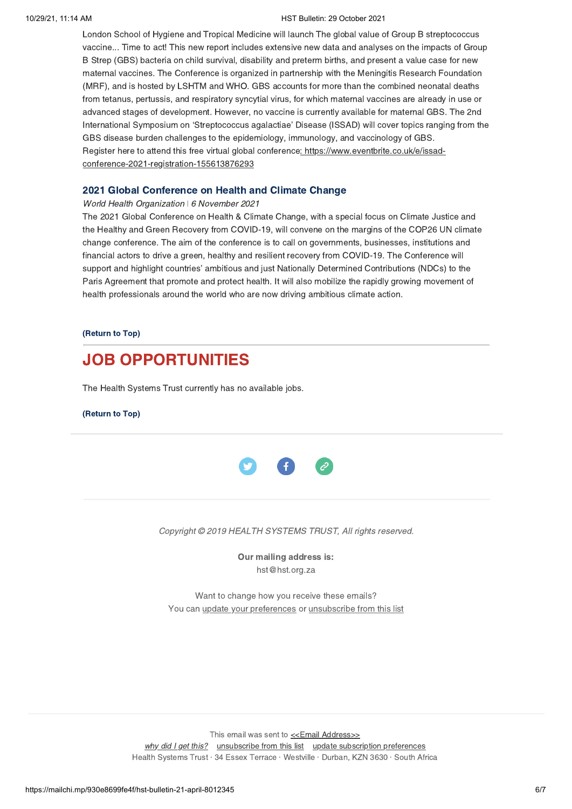#### 10/29/21, 11:14 AM HST Bulletin: 29 October 2021

London School of Hygiene and Tropical Medicine will launch The global value of Group B streptococcus vaccine... Time to act! This new report includes extensive new data and analyses on the impacts of Group B Strep (GBS) bacteria on child survival, disability and preterm births, and present a value case for new maternal vaccines. The Conference is organized in partnership with the Meningitis Research Foundation (MRF), and is hosted by LSHTM and WHO. GBS accounts for more than the combined neonatal deaths from tetanus, pertussis, and respiratory syncytial virus, for which maternal vaccines are already in use or advanced stages of development. However, no vaccine is currently available for maternal GBS. The 2nd International Symposium on 'Streptococcus agalactiae' Disease (ISSAD) will cover topics ranging from the GBS disease burden challenges to the epidemiology, immunology, and vaccinology of GBS. Register here to attend this free virtual global conference: https://www.eventbrite.co.uk/e/issadconference-2021-registration-155613876293

## 2021 Global [Conference](https://www.who.int/news-room/events/detail/2021/11/06/default-calendar/2021-global-conference-on-health-and-climate-change) on Health and Climate Change

#### World Health Organization | 6 November 2021

The 2021 Global Conference on Health & Climate Change, with a special focus on Climate Justice and the Healthy and Green Recovery from COVID-19, will convene on the margins of the COP26 UN climate change conference. The aim of the conference is to call on governments, businesses, institutions and financial actors to drive a green, healthy and resilient recovery from COVID-19. The Conference will support and highlight countries' ambitious and just Nationally Determined Contributions (NDCs) to the Paris Agreement that promote and protect health. It will also mobilize the rapidly growing movement of health professionals around the world who are now driving ambitious climate action.

#### [\(Return](#page-0-1) to Top)

# <span id="page-5-0"></span>JOB OPPORTUNITIES

The Health Systems Trust currently has no available jobs.

#### [\(Return](#page-0-1) to Top)



#### Copyright © 2019 HEALTH SYSTEMS TRUST, All rights reserved.

Our mailing address is: hst@hst.org.za

Want to change how you receive these emails? You can *update your [preferences](https://hst.us14.list-manage.com/profile?u=72d7614ab973e486252cafb97&id=ac4ca52ce0&e=[UNIQID]&c=772cede324)* or *[unsubscribe](https://hst.us14.list-manage.com/unsubscribe?u=72d7614ab973e486252cafb97&id=ac4ca52ce0&e=[UNIQID]&c=772cede324) from this list* 

This email was sent to  $\leq$  Email [Address>>](mailto:%3C%3CEmail%20Address%3E%3E) why did I get [this?](https://hst.us14.list-manage.com/about?u=72d7614ab973e486252cafb97&id=ac4ca52ce0&e=[UNIQID]&c=772cede324) [unsubscribe](https://hst.us14.list-manage.com/unsubscribe?u=72d7614ab973e486252cafb97&id=ac4ca52ce0&e=[UNIQID]&c=772cede324) from this list update [subscription](https://hst.us14.list-manage.com/profile?u=72d7614ab973e486252cafb97&id=ac4ca52ce0&e=[UNIQID]&c=772cede324) preferences Health Systems Trust · 34 Essex Terrace · Westville · Durban, KZN 3630 · South Africa